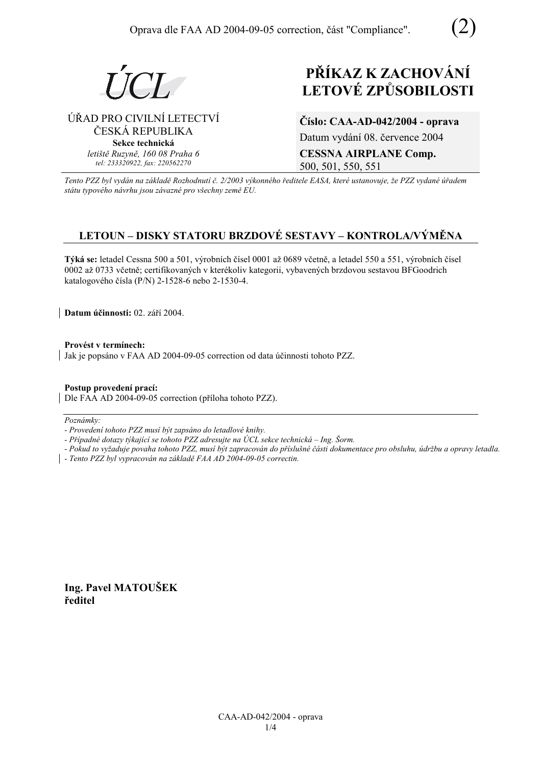



# ⁄ŘAD PRO CIVILNÕ LETECTVÕ ČESKÁ REPUBLIKA **Sekce technická** *letiötě Ruzyně, 160 08 Praha 6 tel: 233320922, fax: 220562270*

# **PŘÍKAZ K ZACHOVÁNÍ LETOV… ZPŮSOBILOSTI**

**ČÌslo: CAA-AD-042/2004 - oprava**  Datum vydání 08. července 2004 **CESSNA AIRPLANE Comp.**  500, 501, 550, 551

*Tento PZZ byl vyd·n na z·kladě RozhodnutÌ č. 2/2003 v˝konnÈho ředitele EASA, kterÈ ustanovuje, ûe PZZ vydanÈ ˙řadem st·tu typovÈho n·vrhu jsou z·vaznÈ pro vöechny země EU.*

# **LETOUN – DISKY STATORU BRZDOVÉ SESTAVY – KONTROLA/VÝMĚNA**

Týká se: letadel Cessna 500 a 501, výrobních čísel 0001 až 0689 včetně, a letadel 550 a 551, výrobních čísel 0002 až 0733 včetně; certifikovaných v kterékoliv kategorii, vybavených brzdovou sestavou BFGoodrich katalogového čísla (P/N) 2-1528-6 nebo 2-1530-4.

**Datum účinnosti:** 02. září 2004.

Provést v termínech: Jak je popsáno v FAA AD 2004-09-05 correction od data účinnosti tohoto PZZ.

**Postup provedenÌ pracÌ:**  Dle FAA AD 2004-09-05 correction (příloha tohoto PZZ).

Poznámky:

*- ProvedenÌ tohoto PZZ musÌ b˝t zaps·no do letadlovÈ knihy.* 

*- Případné dotazy týkající se tohoto PZZ adresujte na ÚCL sekce technická – Ing. Šorm.* 

*- Pokud to vyûaduje povaha tohoto PZZ, musÌ b˝t zapracov·n do přÌsluönÈ č·sti dokumentace pro obsluhu, ˙drûbu a opravy letadla.* 

*- Tento PZZ byl vypracov·n na z·kladě FAA AD 2004-09-05 correctin.* 

**Ing. Pavel MATOUäEK ředitel**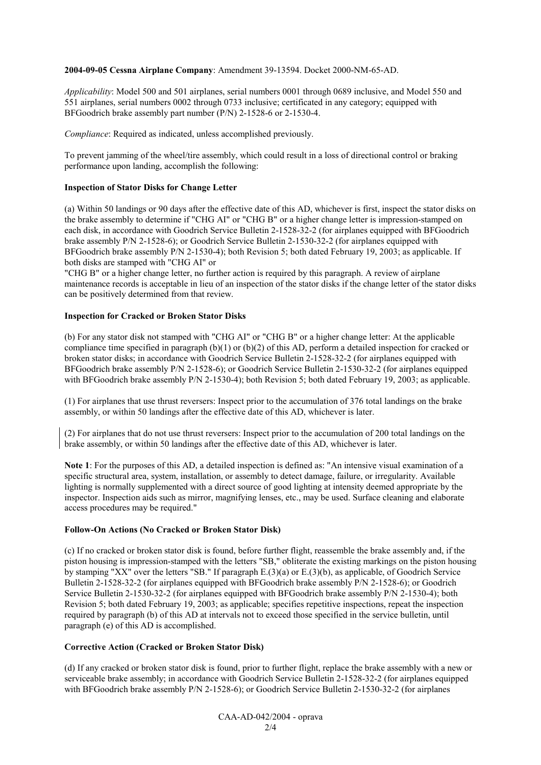#### **2004-09-05 Cessna Airplane Company**: Amendment 39-13594. Docket 2000-NM-65-AD.

*Applicability*: Model 500 and 501 airplanes, serial numbers 0001 through 0689 inclusive, and Model 550 and 551 airplanes, serial numbers 0002 through 0733 inclusive; certificated in any category; equipped with BFGoodrich brake assembly part number (P/N) 2-1528-6 or 2-1530-4.

*Compliance*: Required as indicated, unless accomplished previously.

To prevent jamming of the wheel/tire assembly, which could result in a loss of directional control or braking performance upon landing, accomplish the following:

#### **Inspection of Stator Disks for Change Letter**

(a) Within 50 landings or 90 days after the effective date of this AD, whichever is first, inspect the stator disks on the brake assembly to determine if "CHG AI" or "CHG B" or a higher change letter is impression-stamped on each disk, in accordance with Goodrich Service Bulletin 2-1528-32-2 (for airplanes equipped with BFGoodrich brake assembly P/N 2-1528-6); or Goodrich Service Bulletin 2-1530-32-2 (for airplanes equipped with BFGoodrich brake assembly P/N 2-1530-4); both Revision 5; both dated February 19, 2003; as applicable. If both disks are stamped with "CHG AI" or

"CHG B" or a higher change letter, no further action is required by this paragraph. A review of airplane maintenance records is acceptable in lieu of an inspection of the stator disks if the change letter of the stator disks can be positively determined from that review.

#### **Inspection for Cracked or Broken Stator Disks**

(b) For any stator disk not stamped with "CHG AI" or "CHG B" or a higher change letter: At the applicable compliance time specified in paragraph (b)(1) or (b)(2) of this AD, perform a detailed inspection for cracked or broken stator disks; in accordance with Goodrich Service Bulletin 2-1528-32-2 (for airplanes equipped with BFGoodrich brake assembly P/N 2-1528-6); or Goodrich Service Bulletin 2-1530-32-2 (for airplanes equipped with BFGoodrich brake assembly P/N 2-1530-4); both Revision 5; both dated February 19, 2003; as applicable.

(1) For airplanes that use thrust reversers: Inspect prior to the accumulation of 376 total landings on the brake assembly, or within 50 landings after the effective date of this AD, whichever is later.

(2) For airplanes that do not use thrust reversers: Inspect prior to the accumulation of 200 total landings on the brake assembly, or within 50 landings after the effective date of this AD, whichever is later.

**Note 1**: For the purposes of this AD, a detailed inspection is defined as: "An intensive visual examination of a specific structural area, system, installation, or assembly to detect damage, failure, or irregularity. Available lighting is normally supplemented with a direct source of good lighting at intensity deemed appropriate by the inspector. Inspection aids such as mirror, magnifying lenses, etc., may be used. Surface cleaning and elaborate access procedures may be required."

#### **Follow-On Actions (No Cracked or Broken Stator Disk)**

(c) If no cracked or broken stator disk is found, before further flight, reassemble the brake assembly and, if the piston housing is impression-stamped with the letters "SB," obliterate the existing markings on the piston housing by stamping "XX" over the letters "SB." If paragraph E.(3)(a) or E.(3)(b), as applicable, of Goodrich Service Bulletin 2-1528-32-2 (for airplanes equipped with BFGoodrich brake assembly P/N 2-1528-6); or Goodrich Service Bulletin 2-1530-32-2 (for airplanes equipped with BFGoodrich brake assembly P/N 2-1530-4); both Revision 5; both dated February 19, 2003; as applicable; specifies repetitive inspections, repeat the inspection required by paragraph (b) of this AD at intervals not to exceed those specified in the service bulletin, until paragraph (e) of this AD is accomplished.

# **Corrective Action (Cracked or Broken Stator Disk)**

(d) If any cracked or broken stator disk is found, prior to further flight, replace the brake assembly with a new or serviceable brake assembly; in accordance with Goodrich Service Bulletin 2-1528-32-2 (for airplanes equipped with BFGoodrich brake assembly P/N 2-1528-6); or Goodrich Service Bulletin 2-1530-32-2 (for airplanes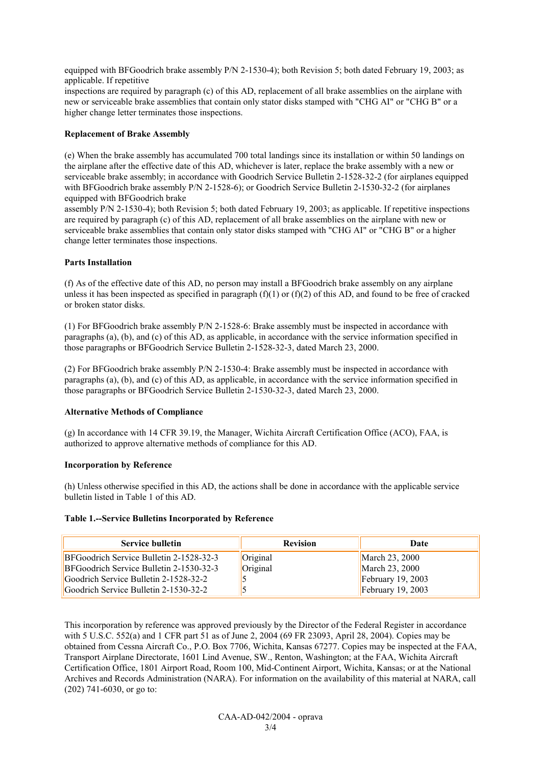equipped with BFGoodrich brake assembly P/N 2-1530-4); both Revision 5; both dated February 19, 2003; as applicable. If repetitive

inspections are required by paragraph (c) of this AD, replacement of all brake assemblies on the airplane with new or serviceable brake assemblies that contain only stator disks stamped with "CHG AI" or "CHG B" or a higher change letter terminates those inspections.

# **Replacement of Brake Assembly**

(e) When the brake assembly has accumulated 700 total landings since its installation or within 50 landings on the airplane after the effective date of this AD, whichever is later, replace the brake assembly with a new or serviceable brake assembly; in accordance with Goodrich Service Bulletin 2-1528-32-2 (for airplanes equipped with BFGoodrich brake assembly P/N 2-1528-6); or Goodrich Service Bulletin 2-1530-32-2 (for airplanes equipped with BFGoodrich brake

assembly P/N 2-1530-4); both Revision 5; both dated February 19, 2003; as applicable. If repetitive inspections are required by paragraph (c) of this AD, replacement of all brake assemblies on the airplane with new or serviceable brake assemblies that contain only stator disks stamped with "CHG AI" or "CHG B" or a higher change letter terminates those inspections.

# **Parts Installation**

(f) As of the effective date of this AD, no person may install a BFGoodrich brake assembly on any airplane unless it has been inspected as specified in paragraph  $(f)(1)$  or  $(f)(2)$  of this AD, and found to be free of cracked or broken stator disks.

(1) For BFGoodrich brake assembly P/N 2-1528-6: Brake assembly must be inspected in accordance with paragraphs (a), (b), and (c) of this AD, as applicable, in accordance with the service information specified in those paragraphs or BFGoodrich Service Bulletin 2-1528-32-3, dated March 23, 2000.

(2) For BFGoodrich brake assembly P/N 2-1530-4: Brake assembly must be inspected in accordance with paragraphs (a), (b), and (c) of this AD, as applicable, in accordance with the service information specified in those paragraphs or BFGoodrich Service Bulletin 2-1530-32-3, dated March 23, 2000.

# **Alternative Methods of Compliance**

(g) In accordance with 14 CFR 39.19, the Manager, Wichita Aircraft Certification Office (ACO), FAA, is authorized to approve alternative methods of compliance for this AD.

# **Incorporation by Reference**

(h) Unless otherwise specified in this AD, the actions shall be done in accordance with the applicable service bulletin listed in Table 1 of this AD.

# **Table 1.--Service Bulletins Incorporated by Reference**

| <b>Service bulletin</b>                 | <b>Revision</b> | Date                |
|-----------------------------------------|-----------------|---------------------|
| BFGoodrich Service Bulletin 2-1528-32-3 | Original        | March 23, 2000      |
| BFGoodrich Service Bulletin 2-1530-32-3 | Original        | March 23, 2000      |
| Goodrich Service Bulletin 2-1528-32-2   |                 | February $19, 2003$ |
| Goodrich Service Bulletin 2-1530-32-2   |                 | February $19, 2003$ |

This incorporation by reference was approved previously by the Director of the Federal Register in accordance with 5 U.S.C. 552(a) and 1 CFR part 51 as of June 2, 2004 (69 FR 23093, April 28, 2004). Copies may be obtained from Cessna Aircraft Co., P.O. Box 7706, Wichita, Kansas 67277. Copies may be inspected at the FAA, Transport Airplane Directorate, 1601 Lind Avenue, SW., Renton, Washington; at the FAA, Wichita Aircraft Certification Office, 1801 Airport Road, Room 100, Mid-Continent Airport, Wichita, Kansas; or at the National Archives and Records Administration (NARA). For information on the availability of this material at NARA, call (202) 741-6030, or go to: